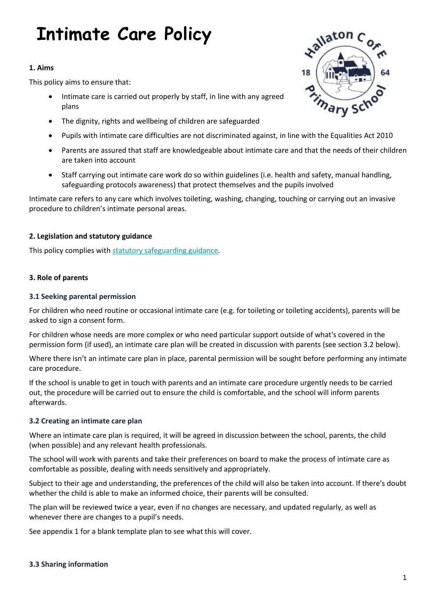# **Intimate Care Policy**

# **1. Aims**

This policy aims to ensure that:

- Intimate care is carried out properly by staff, in line with any agreed plans
- The dignity, rights and wellbeing of children are safeguarded
- Pupils with intimate care difficulties are not discriminated against, in line with the Equalities Act 2010
- Parents are assured that staff are knowledgeable about intimate care and that the needs of their children are taken into account
- Staff carrying out intimate care work do so within guidelines (i.e. health and safety, manual handling, safeguarding protocols awareness) that protect themselves and the pupils involved

Intimate care refers to any care which involves toileting, washing, changing, touching or carrying out an invasive procedure to children's intimate personal areas.

# **2. Legislation and statutory guidance**

This policy complies wit[h statutory safeguarding guidance.](https://www.gov.uk/government/publications/keeping-children-safe-in-education--2)

# **3. Role of parents**

# **3.1 Seeking parental permission**

For children who need routine or occasional intimate care (e.g. for toileting or toileting accidents), parents will be asked to sign a consent form.

For children whose needs are more complex or who need particular support outside of what's covered in the permission form (if used), an intimate care plan will be created in discussion with parents (see section 3.2 below).

Where there isn't an intimate care plan in place, parental permission will be sought before performing any intimate care procedure.

If the school is unable to get in touch with parents and an intimate care procedure urgently needs to be carried out, the procedure will be carried out to ensure the child is comfortable, and the school will inform parents afterwards.

# **3.2 Creating an intimate care plan**

Where an intimate care plan is required, it will be agreed in discussion between the school, parents, the child (when possible) and any relevant health professionals.

The school will work with parents and take their preferences on board to make the process of intimate care as comfortable as possible, dealing with needs sensitively and appropriately.

Subject to their age and understanding, the preferences of the child will also be taken into account. If there's doubt whether the child is able to make an informed choice, their parents will be consulted.

The plan will be reviewed twice a year, even if no changes are necessary, and updated regularly, as well as whenever there are changes to a pupil's needs.

See appendix 1 for a blank template plan to see what this will cover.

# **3.3 Sharing information**

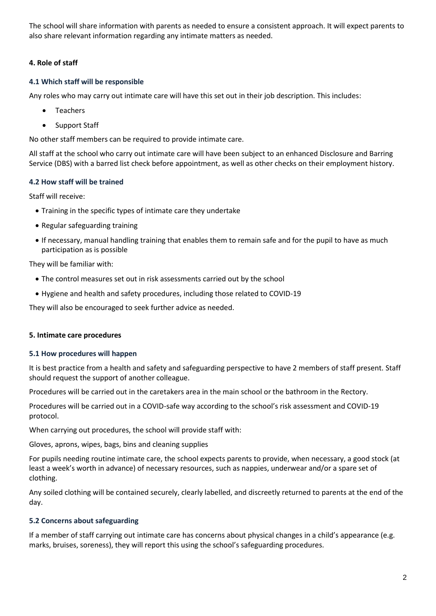The school will share information with parents as needed to ensure a consistent approach. It will expect parents to also share relevant information regarding any intimate matters as needed.

# **4. Role of staff**

# **4.1 Which staff will be responsible**

Any roles who may carry out intimate care will have this set out in their job description. This includes:

- Teachers
- Support Staff

No other staff members can be required to provide intimate care.

All staff at the school who carry out intimate care will have been subject to an enhanced Disclosure and Barring Service (DBS) with a barred list check before appointment, as well as other checks on their employment history.

# **4.2 How staff will be trained**

Staff will receive:

- Training in the specific types of intimate care they undertake
- Regular safeguarding training
- If necessary, manual handling training that enables them to remain safe and for the pupil to have as much participation as is possible

They will be familiar with:

- The control measures set out in risk assessments carried out by the school
- Hygiene and health and safety procedures, including those related to COVID-19

They will also be encouraged to seek further advice as needed.

# **5. Intimate care procedures**

# **5.1 How procedures will happen**

It is best practice from a health and safety and safeguarding perspective to have 2 members of staff present. Staff should request the support of another colleague.

Procedures will be carried out in the caretakers area in the main school or the bathroom in the Rectory.

Procedures will be carried out in a COVID-safe way according to the school's risk assessment and COVID-19 protocol.

When carrying out procedures, the school will provide staff with:

Gloves, aprons, wipes, bags, bins and cleaning supplies

For pupils needing routine intimate care, the school expects parents to provide, when necessary, a good stock (at least a week's worth in advance) of necessary resources, such as nappies, underwear and/or a spare set of clothing.

Any soiled clothing will be contained securely, clearly labelled, and discreetly returned to parents at the end of the day.

# **5.2 Concerns about safeguarding**

If a member of staff carrying out intimate care has concerns about physical changes in a child's appearance (e.g. marks, bruises, soreness), they will report this using the school's safeguarding procedures.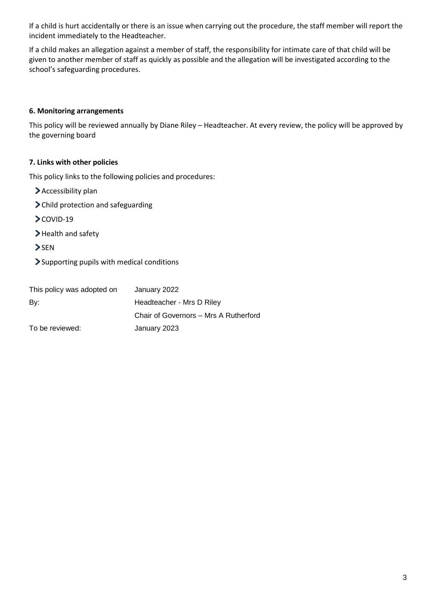If a child is hurt accidentally or there is an issue when carrying out the procedure, the staff member will report the incident immediately to the Headteacher.

If a child makes an allegation against a member of staff, the responsibility for intimate care of that child will be given to another member of staff as quickly as possible and the allegation will be investigated according to the school's safeguarding procedures.

# **6. Monitoring arrangements**

This policy will be reviewed annually by Diane Riley – Headteacher. At every review, the policy will be approved by the governing board

#### **7. Links with other policies**

This policy links to the following policies and procedures:

- > Accessibility plan
- Child protection and safeguarding
- COVID-19
- > Health and safety
- > SEN
- Supporting pupils with medical conditions

| This policy was adopted on | January 2022                          |  |
|----------------------------|---------------------------------------|--|
| By:                        | Headteacher - Mrs D Riley             |  |
|                            | Chair of Governors - Mrs A Rutherford |  |
| To be reviewed:            | January 2023                          |  |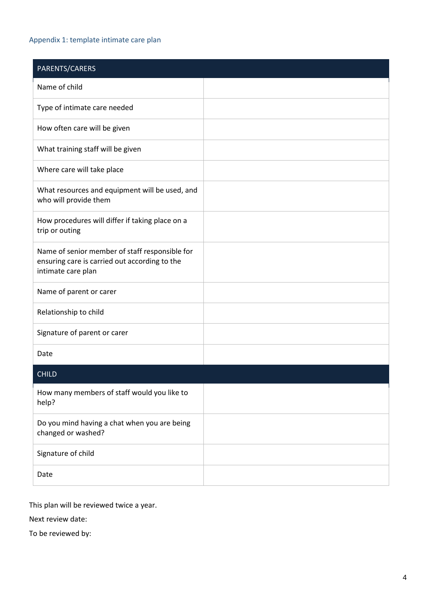# Appendix 1: template intimate care plan

| PARENTS/CARERS                                                                                                        |  |
|-----------------------------------------------------------------------------------------------------------------------|--|
| Name of child                                                                                                         |  |
| Type of intimate care needed                                                                                          |  |
| How often care will be given                                                                                          |  |
| What training staff will be given                                                                                     |  |
| Where care will take place                                                                                            |  |
| What resources and equipment will be used, and<br>who will provide them                                               |  |
| How procedures will differ if taking place on a<br>trip or outing                                                     |  |
| Name of senior member of staff responsible for<br>ensuring care is carried out according to the<br>intimate care plan |  |
| Name of parent or carer                                                                                               |  |
| Relationship to child                                                                                                 |  |
| Signature of parent or carer                                                                                          |  |
| Date                                                                                                                  |  |
| <b>CHILD</b>                                                                                                          |  |
| How many members of staff would you like to<br>help?                                                                  |  |
| Do you mind having a chat when you are being<br>changed or washed?                                                    |  |
| Signature of child                                                                                                    |  |
| Date                                                                                                                  |  |

This plan will be reviewed twice a year.

Next review date:

To be reviewed by: